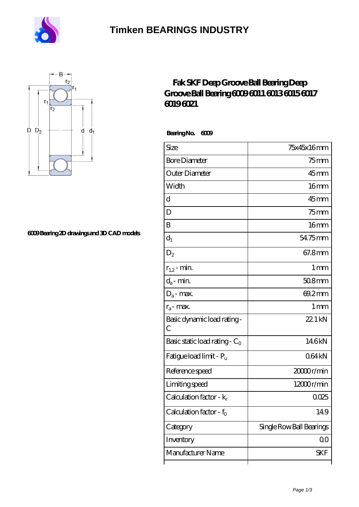

# **[Timken BEARINGS INDUSTRY](https://centreforimmunodeficiency.com)**



#### **[6009 Bearing 2D drawings and 3D CAD models](https://centreforimmunodeficiency.com/pic-803304.html)**

### **[Fak SKF Deep Groove Ball Bearing Deep](https://centreforimmunodeficiency.com/skf-6009-bearings/) [Groove Ball Bearing 6009 6011 6013 6015 6017](https://centreforimmunodeficiency.com/skf-6009-bearings/) [6019 6021](https://centreforimmunodeficiency.com/skf-6009-bearings/)**

 **Bearing No. 6009**

| Size                                | 75x45x16mm               |
|-------------------------------------|--------------------------|
| <b>Bore Diameter</b>                | $75$ mm                  |
| Outer Diameter                      | $45$ mm                  |
| Width                               | 16 <sub>mm</sub>         |
| d                                   | $45$ mm                  |
| D                                   | $75$ mm                  |
| B                                   | 16 <sub>mm</sub>         |
| $d_1$                               | 54.75mm                  |
| $D_2$                               | 67.8mm                   |
| $r_{1,2}$ - min.                    | 1 <sub>mm</sub>          |
| $d_a$ - min.                        | $508$ mm                 |
| $D_a$ - max.                        | 69.2mm                   |
| $r_a$ - max.                        | 1 <sub>mm</sub>          |
| Basic dynamic load rating-<br>С     | 22.1 kN                  |
| Basic static load rating - $C_0$    | 146kN                    |
| Fatigue load limit - P <sub>u</sub> | 064kN                    |
| Reference speed                     | 2000r/min                |
| Limiting speed                      | 12000r/min               |
| Calculation factor - k <sub>r</sub> | 0.025                    |
| Calculation factor - f <sub>o</sub> | 149                      |
| Category                            | Single Row Ball Bearings |
| Inventory                           | QO                       |
| Manufacturer Name                   | SKF                      |
|                                     |                          |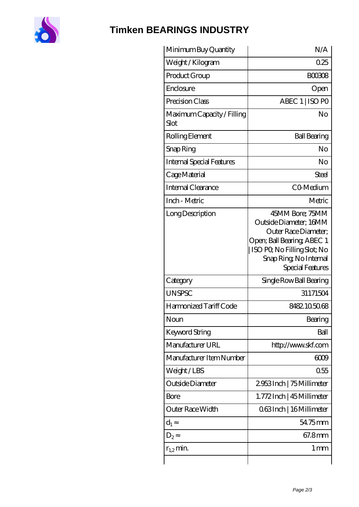

## **[Timken BEARINGS INDUSTRY](https://centreforimmunodeficiency.com)**

| Minimum Buy Quantity               | N/A                                                                                                                                                                           |
|------------------------------------|-------------------------------------------------------------------------------------------------------------------------------------------------------------------------------|
| Weight / Kilogram                  | 0.25                                                                                                                                                                          |
| Product Group                      | <b>BOO308</b>                                                                                                                                                                 |
| Enclosure                          | Open                                                                                                                                                                          |
| Precision Class                    | ABEC 1   ISO PO                                                                                                                                                               |
| Maximum Capacity / Filling<br>Slot | No                                                                                                                                                                            |
| Rolling Element                    | <b>Ball Bearing</b>                                                                                                                                                           |
| Snap Ring                          | No                                                                                                                                                                            |
| Internal Special Features          | No                                                                                                                                                                            |
| Cage Material                      | Steel                                                                                                                                                                         |
| <b>Internal Clearance</b>          | CO-Medium                                                                                                                                                                     |
| Inch - Metric                      | Metric                                                                                                                                                                        |
| Long Description                   | 45MM Bore; 75MM<br>Outside Diameter; 16MM<br>Outer Race Diameter;<br>Open; Ball Bearing; ABEC 1<br>  ISO PQ No Filling Slot; No<br>Snap Ring, No Internal<br>Special Features |
| Category                           | Single Row Ball Bearing                                                                                                                                                       |
| <b>UNSPSC</b>                      | 31171504                                                                                                                                                                      |
| Harmonized Tariff Code             | 8482105068                                                                                                                                                                    |
| Noun                               | Bearing                                                                                                                                                                       |
| Keyword String                     | Ball                                                                                                                                                                          |
| Manufacturer URL                   | http://www.skf.com                                                                                                                                                            |
| Manufacturer Item Number           | 6009                                                                                                                                                                          |
| Weight/LBS                         | 0.55                                                                                                                                                                          |
| Outside Diameter                   | 2953Inch   75 Millimeter                                                                                                                                                      |
| Bore                               | 1.772Inch   45 Millimeter                                                                                                                                                     |
| Outer Race Width                   | 063Inch   16 Millimeter                                                                                                                                                       |
| $d_1$                              | 54.75mm                                                                                                                                                                       |
| $D_2$                              | 67.8mm                                                                                                                                                                        |
| $r_{1,2}$ min.                     | $1 \,\mathrm{mm}$                                                                                                                                                             |
|                                    |                                                                                                                                                                               |